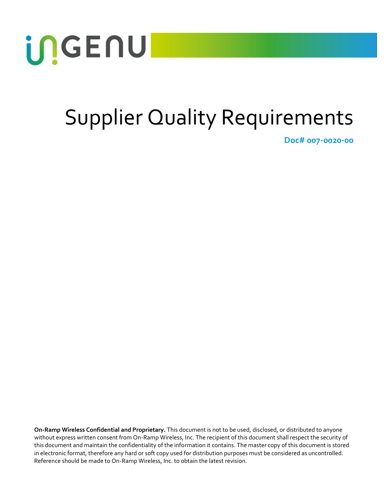

# Supplier Quality Requirements

**Doc# 007-0020-00**

**On-Ramp Wireless Confidential and Proprietary.** This document is not to be used, disclosed, or distributed to anyone without express written consent from On-Ramp Wireless, Inc. The recipient of this document shall respect the security of this document and maintain the confidentiality of the information it contains. The master copy of this document is stored in electronic format, therefore any hard or soft copy used for distribution purposes must be considered as uncontrolled. Reference should be made to On-Ramp Wireless, Inc. to obtain the latest revision.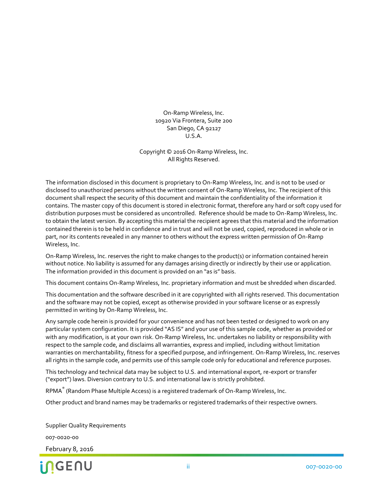On-Ramp Wireless, Inc. 10920 Via Frontera, Suite 200 San Diego, CA 92127 U.S.A.

Copyright © 2016 On-Ramp Wireless, Inc. All Rights Reserved.

The information disclosed in this document is proprietary to On-Ramp Wireless, Inc. and is not to be used or disclosed to unauthorized persons without the written consent of On-Ramp Wireless, Inc. The recipient of this document shall respect the security of this document and maintain the confidentiality of the information it contains. The master copy of this document is stored in electronic format, therefore any hard or soft copy used for distribution purposes must be considered as uncontrolled. Reference should be made to On-Ramp Wireless, Inc. to obtain the latest version. By accepting this material the recipient agrees that this material and the information contained therein is to be held in confidence and in trust and will not be used, copied, reproduced in whole or in part, nor its contents revealed in any manner to others without the express written permission of On-Ramp Wireless, Inc.

On-Ramp Wireless, Inc. reserves the right to make changes to the product(s) or information contained herein without notice. No liability is assumed for any damages arising directly or indirectly by their use or application. The information provided in this document is provided on an "as is" basis.

This document contains On-Ramp Wireless, Inc. proprietary information and must be shredded when discarded.

This documentation and the software described in it are copyrighted with all rights reserved. This documentation and the software may not be copied, except as otherwise provided in your software license or as expressly permitted in writing by On-Ramp Wireless, Inc.

Any sample code herein is provided for your convenience and has not been tested or designed to work on any particular system configuration. It is provided "AS IS" and your use of this sample code, whether as provided or with any modification, is at your own risk. On-Ramp Wireless, Inc. undertakes no liability or responsibility with respect to the sample code, and disclaims all warranties, express and implied, including without limitation warranties on merchantability, fitness for a specified purpose, and infringement. On-Ramp Wireless, Inc. reserves all rights in the sample code, and permits use of this sample code only for educational and reference purposes.

This technology and technical data may be subject to U.S. and international export, re-export or transfer ("export") laws. Diversion contrary to U.S. and international law is strictly prohibited.

 $\mathsf{RPMA}^\mathsf{e}$  (Random Phase Multiple Access) is a registered trademark of On-Ramp Wireless, Inc.

Other product and brand names may be trademarks or registered trademarks of their respective owners.

Supplier Quality Requirements 007-0020-00 February 8, 2016

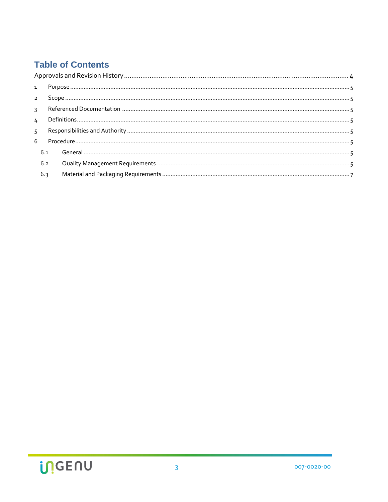### **Table of Contents**

| 5 <sup>7</sup> |     |  |  |  |  |
|----------------|-----|--|--|--|--|
|                |     |  |  |  |  |
|                | 6.1 |  |  |  |  |
|                | 6.2 |  |  |  |  |
|                | 6.3 |  |  |  |  |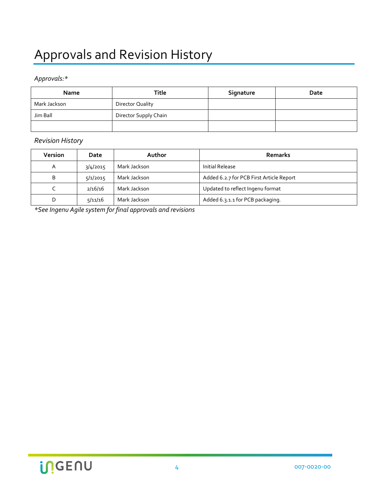## <span id="page-3-0"></span>Approvals and Revision History

#### *Approvals:\**

| <b>Name</b>  | Title                 | Signature | Date |
|--------------|-----------------------|-----------|------|
| Mark Jackson | Director Quality      |           |      |
| Jim Ball     | Director Supply Chain |           |      |
|              |                       |           |      |

#### *Revision History*

| <b>Version</b> | Date     | Author       | Remarks                                  |
|----------------|----------|--------------|------------------------------------------|
| A              | 3/4/2015 | Mark Jackson | Initial Release                          |
| B              | 5/1/2015 | Mark Jackson | Added 6.2.7 for PCB First Article Report |
|                | 2/16/16  | Mark Jackson | Updated to reflect Ingenu format         |
|                | 5/11/16  | Mark Jackson | Added 6.3.1.1 for PCB packaging.         |

*\*See Ingenu Agile system for final approvals and revisions*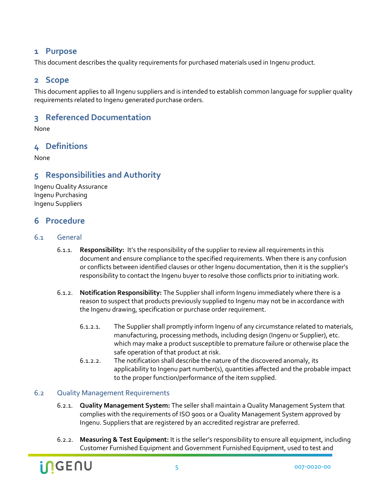#### <span id="page-4-0"></span>**1 Purpose**

<span id="page-4-1"></span>This document describes the quality requirements for purchased materials used in Ingenu product.

#### **2 Scope**

This document applies to all Ingenu suppliers and is intended to establish common language for supplier quality requirements related to Ingenu generated purchase orders.

#### <span id="page-4-2"></span>**3 Referenced Documentation**

<span id="page-4-3"></span>None

#### **4 Definitions**

<span id="page-4-4"></span>None

#### **5 Responsibilities and Authority**

Ingenu Quality Assurance Ingenu Purchasing Ingenu Suppliers

#### <span id="page-4-5"></span>**6 Procedure**

#### <span id="page-4-6"></span>6.1 General

- 6.1.1. **Responsibility:** It's the responsibility of the supplier to review all requirements in this document and ensure compliance to the specified requirements. When there is any confusion or conflicts between identified clauses or other Ingenu documentation, then it is the supplier's responsibility to contact the Ingenu buyer to resolve those conflicts prior to initiating work.
- 6.1.2. **Notification Responsibility:** The Supplier shall inform Ingenu immediately where there is a reason to suspect that products previously supplied to Ingenu may not be in accordance with the Ingenu drawing, specification or purchase order requirement.
	- 6.1.2.1. The Supplier shall promptly inform Ingenu of any circumstance related to materials, manufacturing, processing methods, including design (Ingenu or Supplier), etc. which may make a product susceptible to premature failure or otherwise place the safe operation of that product at risk.
	- 6.1.2.2. The notification shall describe the nature of the discovered anomaly, its applicability to Ingenu part number(s), quantities affected and the probable impact to the proper function/performance of the item supplied.

#### <span id="page-4-7"></span>6.2 Quality Management Requirements

- 6.2.1. **Quality Management System:** The seller shall maintain a Quality Management System that complies with the requirements of ISO 9001 or a Quality Management System approved by Ingenu. Suppliers that are registered by an accredited registrar are preferred.
- 6.2.2. **Measuring & Test Equipment:** It is the seller's responsibility to ensure all equipment, including Customer Furnished Equipment and Government Furnished Equipment, used to test and

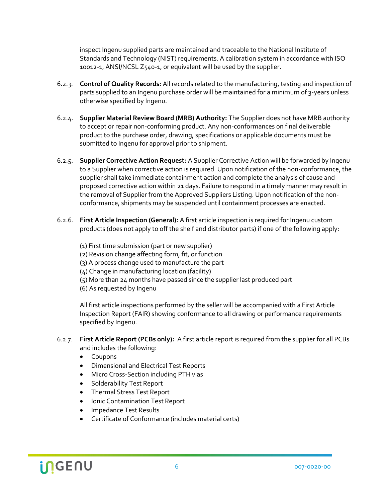inspect Ingenu supplied parts are maintained and traceable to the National Institute of Standards and Technology (NIST) requirements. A calibration system in accordance with ISO 10012-1, ANSI/NCSL Z540-1, or equivalent will be used by the supplier.

- 6.2.3. **Control of Quality Records:** All records related to the manufacturing, testing and inspection of parts supplied to an Ingenu purchase order will be maintained for a minimum of 3-years unless otherwise specified by Ingenu.
- 6.2.4. **Supplier Material Review Board (MRB) Authority:** The Supplier does not have MRB authority to accept or repair non-conforming product. Any non-conformances on final deliverable product to the purchase order, drawing, specifications or applicable documents must be submitted to Ingenu for approval prior to shipment.
- 6.2.5. **Supplier Corrective Action Request:** A Supplier Corrective Action will be forwarded by Ingenu to a Supplier when corrective action is required. Upon notification of the non-conformance, the supplier shall take immediate containment action and complete the analysis of cause and proposed corrective action within 21 days. Failure to respond in a timely manner may result in the removal of Supplier from the Approved Suppliers Listing. Upon notification of the nonconformance, shipments may be suspended until containment processes are enacted.
- 6.2.6. **First Article Inspection (General):** A first article inspection is required for Ingenu custom products (does not apply to off the shelf and distributor parts) if one of the following apply:
	- (1) First time submission (part or new supplier)
	- (2) Revision change affecting form, fit, or function
	- (3) A process change used to manufacture the part
	- (4) Change in manufacturing location (facility)
	- (5) More than 24 months have passed since the supplier last produced part
	- (6) As requested by Ingenu

All first article inspections performed by the seller will be accompanied with a First Article Inspection Report (FAIR) showing conformance to all drawing or performance requirements specified by Ingenu.

- 6.2.7. **First Article Report (PCBs only):** A first article report is required from the supplier for all PCBs and includes the following:
	- Coupons
	- Dimensional and Electrical Test Reports
	- Micro Cross-Section including PTH vias
	- Solderability Test Report
	- Thermal Stress Test Report
	- Ionic Contamination Test Report
	- Impedance Test Results
	- Certificate of Conformance (includes material certs)

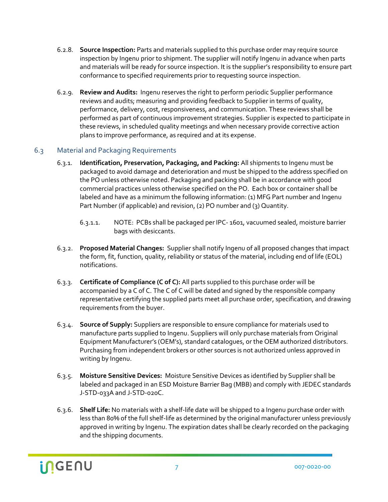- 6.2.8. **Source Inspection:** Parts and materials supplied to this purchase order may require source inspection by Ingenu prior to shipment. The supplier will notify Ingenu in advance when parts and materials will be ready for source inspection. It is the supplier's responsibility to ensure part conformance to specified requirements prior to requesting source inspection.
- 6.2.9. **Review and Audits:** Ingenu reserves the right to perform periodic Supplier performance reviews and audits; measuring and providing feedback to Supplier in terms of quality, performance, delivery, cost, responsiveness, and communication. These reviews shall be performed as part of continuous improvement strategies. Supplier is expected to participate in these reviews, in scheduled quality meetings and when necessary provide corrective action plans to improve performance, as required and at its expense.

#### <span id="page-6-0"></span>6.3 Material and Packaging Requirements

- 6.3.1. **Identification, Preservation, Packaging, and Packing:** All shipments to Ingenu must be packaged to avoid damage and deterioration and must be shipped to the address specified on the PO unless otherwise noted. Packaging and packing shall be in accordance with good commercial practices unless otherwise specified on the PO. Each box or container shall be labeled and have as a minimum the following information: (1) MFG Part number and Ingenu Part Number (if applicable) and revision, (2) PO number and (3) Quantity.
	- 6.3.1.1. NOTE: PCBs shall be packaged per IPC- 1601, vacuumed sealed, moisture barrier bags with desiccants.
- 6.3.2. **Proposed Material Changes:** Supplier shall notify Ingenu of all proposed changes that impact the form, fit, function, quality, reliability or status of the material, including end of life (EOL) notifications.
- 6.3.3. **Certificate of Compliance (C of C):** All parts supplied to this purchase order will be accompanied by a C of C. The C of C will be dated and signed by the responsible company representative certifying the supplied parts meet all purchase order, specification, and drawing requirements from the buyer.
- 6.3.4. **Source of Supply:** Suppliers are responsible to ensure compliance for materials used to manufacture parts supplied to Ingenu. Suppliers will only purchase materials from Original Equipment Manufacturer's (OEM's), standard catalogues, or the OEM authorized distributors. Purchasing from independent brokers or other sources is not authorized unless approved in writing by Ingenu.
- 6.3.5. **Moisture Sensitive Devices:** Moisture Sensitive Devices as identified by Supplier shall be labeled and packaged in an ESD Moisture Barrier Bag (MBB) and comply with JEDEC standards J-STD-033A and J-STD-020C.
- 6.3.6. **Shelf Life:** No materials with a shelf-life date will be shipped to a Ingenu purchase order with less than 80% of the full shelf-life as determined by the original manufacturer unless previously approved in writing by Ingenu. The expiration dates shall be clearly recorded on the packaging and the shipping documents.